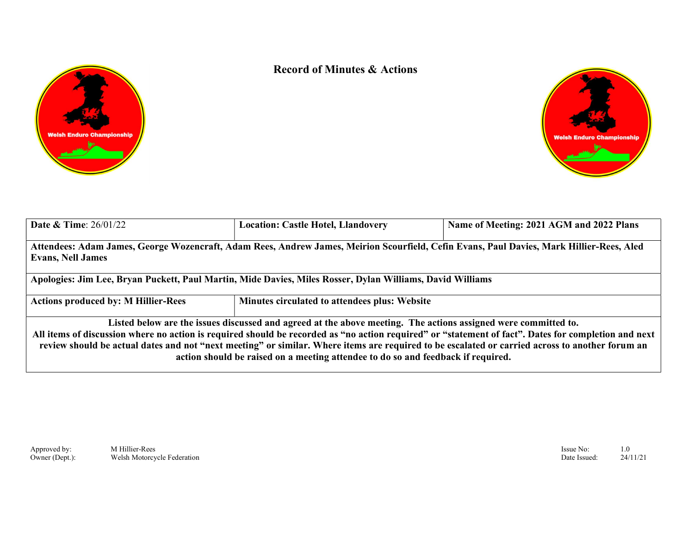



| <b>Date &amp; Time:</b> $26/01/22$         | <b>Location: Castle Hotel, Llandovery</b>                                                                                                                                                                                                                                                                                                             | Name of Meeting: 2021 AGM and 2022 Plans                                                                                                             |
|--------------------------------------------|-------------------------------------------------------------------------------------------------------------------------------------------------------------------------------------------------------------------------------------------------------------------------------------------------------------------------------------------------------|------------------------------------------------------------------------------------------------------------------------------------------------------|
| <b>Evans, Nell James</b>                   | Attendees: Adam James, George Wozencraft, Adam Rees, Andrew James, Meirion Scourfield, Cefin Evans, Paul Davies, Mark Hillier-Rees, Aled                                                                                                                                                                                                              |                                                                                                                                                      |
|                                            | Apologies: Jim Lee, Bryan Puckett, Paul Martin, Mide Davies, Miles Rosser, Dylan Williams, David Williams                                                                                                                                                                                                                                             |                                                                                                                                                      |
| <b>Actions produced by: M Hillier-Rees</b> | Minutes circulated to attendees plus: Website                                                                                                                                                                                                                                                                                                         |                                                                                                                                                      |
|                                            | Listed below are the issues discussed and agreed at the above meeting. The actions assigned were committed to.<br>review should be actual dates and not "next meeting" or similar. Where items are required to be escalated or carried across to another forum an<br>action should be raised on a meeting attendee to do so and feedback if required. | All items of discussion where no action is required should be recorded as "no action required" or "statement of fact". Dates for completion and next |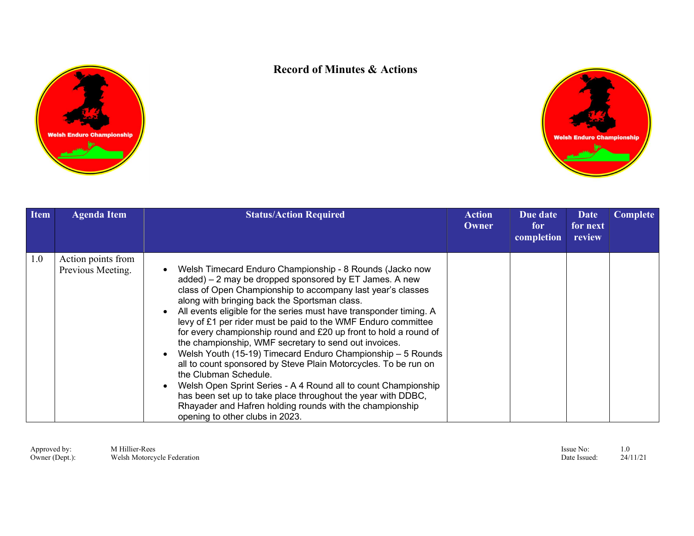



| <b>Item</b> | <b>Agenda Item</b>                      | <b>Status/Action Required</b>                                                                                                                                                                                                                                                                                                                                                                                                                                                                                                                                                                                                                                                                                                                                                                                                                                                                      | Action<br><b>Owner</b> | Due date<br>for<br>completion | Date<br>for next<br>review | Complete |
|-------------|-----------------------------------------|----------------------------------------------------------------------------------------------------------------------------------------------------------------------------------------------------------------------------------------------------------------------------------------------------------------------------------------------------------------------------------------------------------------------------------------------------------------------------------------------------------------------------------------------------------------------------------------------------------------------------------------------------------------------------------------------------------------------------------------------------------------------------------------------------------------------------------------------------------------------------------------------------|------------------------|-------------------------------|----------------------------|----------|
| 1.0         | Action points from<br>Previous Meeting. | Welsh Timecard Enduro Championship - 8 Rounds (Jacko now<br>added) – 2 may be dropped sponsored by ET James. A new<br>class of Open Championship to accompany last year's classes<br>along with bringing back the Sportsman class.<br>All events eligible for the series must have transponder timing. A<br>levy of £1 per rider must be paid to the WMF Enduro committee<br>for every championship round and £20 up front to hold a round of<br>the championship, WMF secretary to send out invoices.<br>Welsh Youth (15-19) Timecard Enduro Championship - 5 Rounds<br>all to count sponsored by Steve Plain Motorcycles. To be run on<br>the Clubman Schedule.<br>Welsh Open Sprint Series - A 4 Round all to count Championship<br>has been set up to take place throughout the year with DDBC,<br>Rhayader and Hafren holding rounds with the championship<br>opening to other clubs in 2023. |                        |                               |                            |          |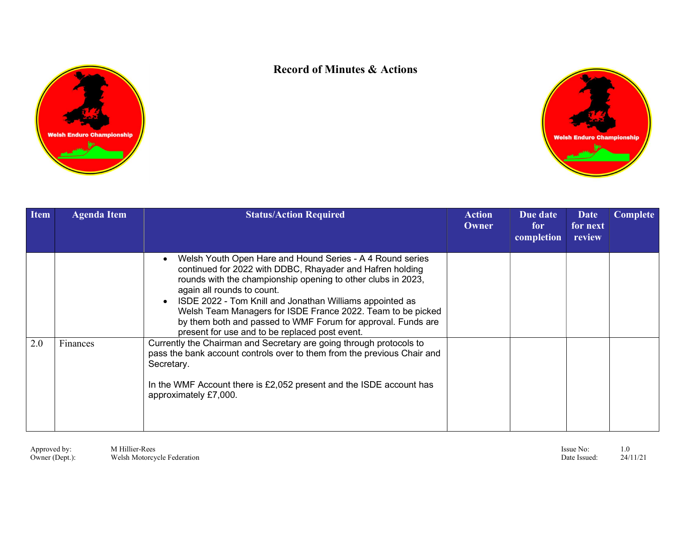



| <b>Item</b> | <b>Agenda Item</b> | <b>Status/Action Required</b>                                                                                                                                                                                                                                                                                                                                                                                                                                     | <b>Action</b><br>Owner | Due date<br>for<br>completion | <b>Date</b><br>for next<br>review | <b>Complete</b> |  |
|-------------|--------------------|-------------------------------------------------------------------------------------------------------------------------------------------------------------------------------------------------------------------------------------------------------------------------------------------------------------------------------------------------------------------------------------------------------------------------------------------------------------------|------------------------|-------------------------------|-----------------------------------|-----------------|--|
|             |                    | Welsh Youth Open Hare and Hound Series - A 4 Round series<br>continued for 2022 with DDBC, Rhayader and Hafren holding<br>rounds with the championship opening to other clubs in 2023,<br>again all rounds to count.<br>ISDE 2022 - Tom Knill and Jonathan Williams appointed as<br>Welsh Team Managers for ISDE France 2022. Team to be picked<br>by them both and passed to WMF Forum for approval. Funds are<br>present for use and to be replaced post event. |                        |                               |                                   |                 |  |
| 2.0         | Finances           | Currently the Chairman and Secretary are going through protocols to<br>pass the bank account controls over to them from the previous Chair and<br>Secretary.<br>In the WMF Account there is £2,052 present and the ISDE account has<br>approximately £7,000.                                                                                                                                                                                                      |                        |                               |                                   |                 |  |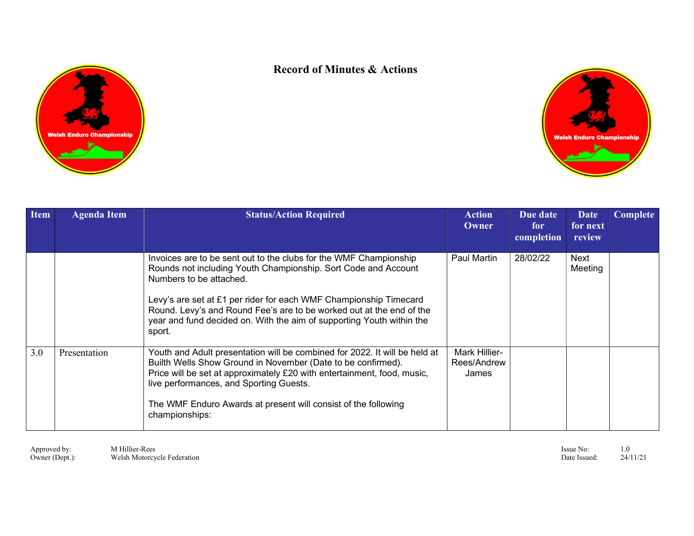



| <b>Item</b> | <b>Agenda Item</b> | <b>Status/Action Required</b>                                                                                                                                                                                                                                                                                                                                                                  | Action<br>Owner                              | Due date<br>for<br>completion | Date<br>for next<br>review | <b>Complete</b> |
|-------------|--------------------|------------------------------------------------------------------------------------------------------------------------------------------------------------------------------------------------------------------------------------------------------------------------------------------------------------------------------------------------------------------------------------------------|----------------------------------------------|-------------------------------|----------------------------|-----------------|
|             |                    | Invoices are to be sent out to the clubs for the WMF Championship<br>Rounds not including Youth Championship. Sort Code and Account<br>Numbers to be attached.<br>Levy's are set at £1 per rider for each WMF Championship Timecard<br>Round. Levy's and Round Fee's are to be worked out at the end of the<br>year and fund decided on. With the aim of supporting Youth within the<br>sport. | Paul Martin                                  | 28/02/22                      | Next<br>Meeting            |                 |
| 3.0         | Presentation       | Youth and Adult presentation will be combined for 2022. It will be held at<br>Builth Wells Show Ground in November (Date to be confirmed).<br>Price will be set at approximately £20 with entertainment, food, music,<br>live performances, and Sporting Guests.<br>The WMF Enduro Awards at present will consist of the following<br>championships:                                           | <b>Mark Hillier-</b><br>Rees/Andrew<br>James |                               |                            |                 |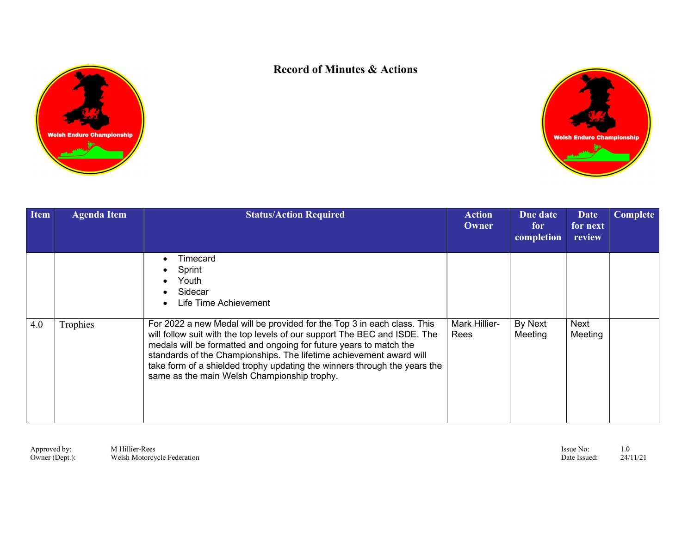



| <b>Item</b> | <b>Agenda Item</b> | <b>Status/Action Required</b>                                                                                                                                                                                                                                                                                                                                                                                                 | Action<br>Owner              | Due date<br>for<br>completion | <b>Date</b><br>for next<br>review | Complete |
|-------------|--------------------|-------------------------------------------------------------------------------------------------------------------------------------------------------------------------------------------------------------------------------------------------------------------------------------------------------------------------------------------------------------------------------------------------------------------------------|------------------------------|-------------------------------|-----------------------------------|----------|
|             |                    | Timecard<br>Sprint<br>Youth<br>Sidecar<br>Life Time Achievement                                                                                                                                                                                                                                                                                                                                                               |                              |                               |                                   |          |
| 4.0         | Trophies           | For 2022 a new Medal will be provided for the Top 3 in each class. This<br>will follow suit with the top levels of our support The BEC and ISDE. The<br>medals will be formatted and ongoing for future years to match the<br>standards of the Championships. The lifetime achievement award will<br>take form of a shielded trophy updating the winners through the years the<br>same as the main Welsh Championship trophy. | <b>Mark Hillier-</b><br>Rees | By Next<br>Meeting            | Next<br>Meeting                   |          |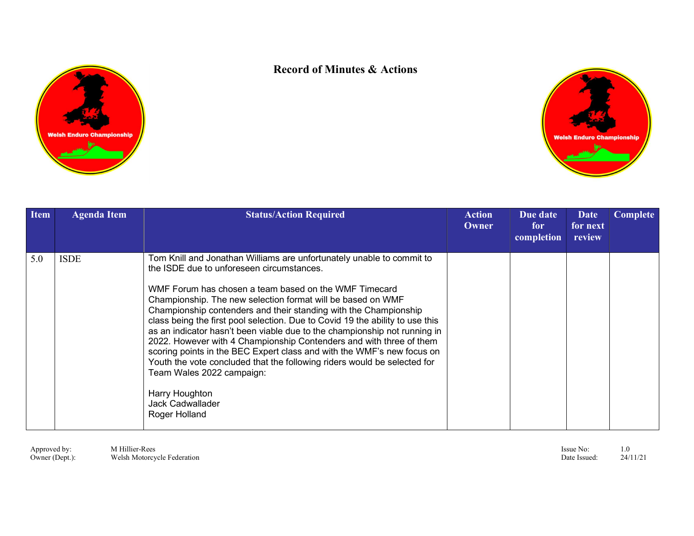



| <b>Item</b> | <b>Agenda Item</b> | <b>Status/Action Required</b>                                                                                                                                                                                                                                                                                                                                                                                                                                                                                                                                                                                                                                                                                                                                                                        | Action<br>Owner | Due date<br>for<br>completion | Date<br>for next<br>review | <b>Complete</b> |
|-------------|--------------------|------------------------------------------------------------------------------------------------------------------------------------------------------------------------------------------------------------------------------------------------------------------------------------------------------------------------------------------------------------------------------------------------------------------------------------------------------------------------------------------------------------------------------------------------------------------------------------------------------------------------------------------------------------------------------------------------------------------------------------------------------------------------------------------------------|-----------------|-------------------------------|----------------------------|-----------------|
| 5.0         | <b>ISDE</b>        | Tom Knill and Jonathan Williams are unfortunately unable to commit to<br>the ISDE due to unforeseen circumstances.<br>WMF Forum has chosen a team based on the WMF Timecard<br>Championship. The new selection format will be based on WMF<br>Championship contenders and their standing with the Championship<br>class being the first pool selection. Due to Covid 19 the ability to use this<br>as an indicator hasn't been viable due to the championship not running in<br>2022. However with 4 Championship Contenders and with three of them<br>scoring points in the BEC Expert class and with the WMF's new focus on<br>Youth the vote concluded that the following riders would be selected for<br>Team Wales 2022 campaign:<br>Harry Houghton<br><b>Jack Cadwallader</b><br>Roger Holland |                 |                               |                            |                 |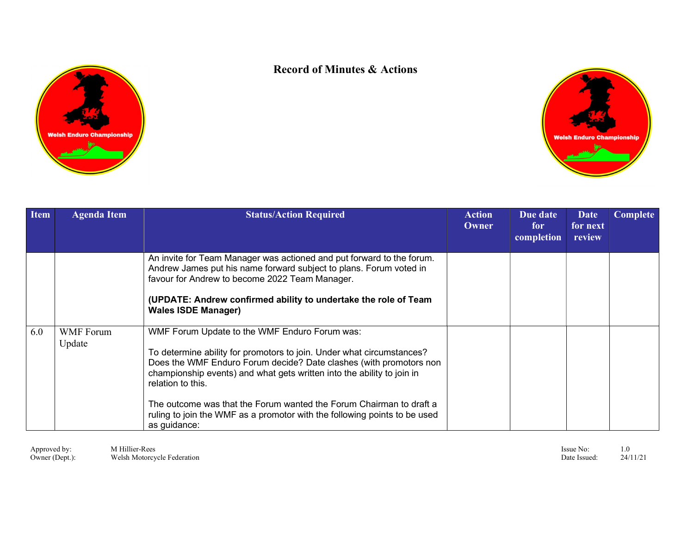



| <b>Item</b> | <b>Agenda Item</b>         | <b>Status/Action Required</b>                                                                                                                                                                                                                                                                                                                                                                                                                                   | <b>Action</b><br>Owner | Due date<br>for<br>completion | <b>Date</b><br>for next<br>review | <b>Complete</b> |
|-------------|----------------------------|-----------------------------------------------------------------------------------------------------------------------------------------------------------------------------------------------------------------------------------------------------------------------------------------------------------------------------------------------------------------------------------------------------------------------------------------------------------------|------------------------|-------------------------------|-----------------------------------|-----------------|
|             |                            | An invite for Team Manager was actioned and put forward to the forum.<br>Andrew James put his name forward subject to plans. Forum voted in<br>favour for Andrew to become 2022 Team Manager.<br>(UPDATE: Andrew confirmed ability to undertake the role of Team<br><b>Wales ISDE Manager)</b>                                                                                                                                                                  |                        |                               |                                   |                 |
| 6.0         | <b>WMF</b> Forum<br>Update | WMF Forum Update to the WMF Enduro Forum was:<br>To determine ability for promotors to join. Under what circumstances?<br>Does the WMF Enduro Forum decide? Date clashes (with promotors non<br>championship events) and what gets written into the ability to join in<br>relation to this.<br>The outcome was that the Forum wanted the Forum Chairman to draft a<br>ruling to join the WMF as a promotor with the following points to be used<br>as guidance: |                        |                               |                                   |                 |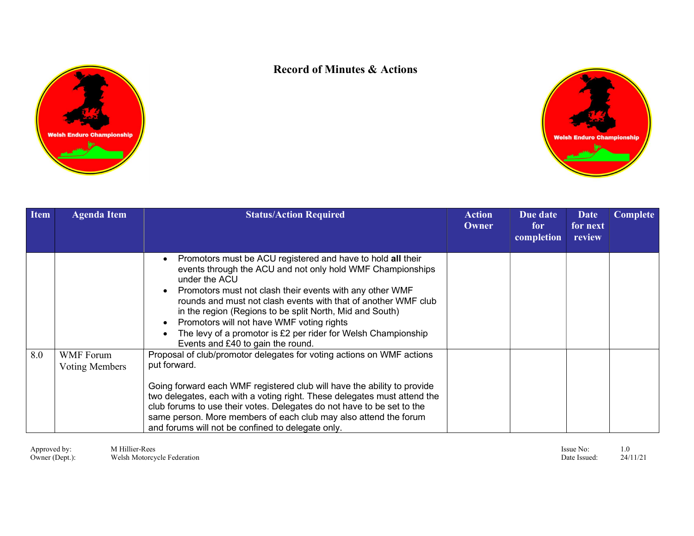



| <b>Item</b> | <b>Agenda Item</b>                 | <b>Status/Action Required</b>                                                                                                                                                                                                                                                                                                                                                                                                                                                           | <b>Action</b><br>Owner | Due date<br>for<br>completion | Date<br>for next<br>review | Complete |
|-------------|------------------------------------|-----------------------------------------------------------------------------------------------------------------------------------------------------------------------------------------------------------------------------------------------------------------------------------------------------------------------------------------------------------------------------------------------------------------------------------------------------------------------------------------|------------------------|-------------------------------|----------------------------|----------|
|             |                                    | Promotors must be ACU registered and have to hold all their<br>events through the ACU and not only hold WMF Championships<br>under the ACU<br>Promotors must not clash their events with any other WMF<br>rounds and must not clash events with that of another WMF club<br>in the region (Regions to be split North, Mid and South)<br>Promotors will not have WMF voting rights<br>The levy of a promotor is £2 per rider for Welsh Championship<br>Events and £40 to gain the round. |                        |                               |                            |          |
| 8.0         | <b>WMF</b> Forum<br>Voting Members | Proposal of club/promotor delegates for voting actions on WMF actions<br>put forward.                                                                                                                                                                                                                                                                                                                                                                                                   |                        |                               |                            |          |
|             |                                    | Going forward each WMF registered club will have the ability to provide<br>two delegates, each with a voting right. These delegates must attend the<br>club forums to use their votes. Delegates do not have to be set to the<br>same person. More members of each club may also attend the forum<br>and forums will not be confined to delegate only.                                                                                                                                  |                        |                               |                            |          |